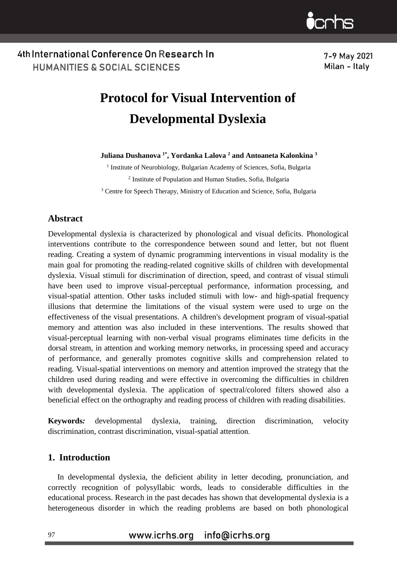7-9 May 2021 Milan - Italy

# **Protocol for Visual Intervention of Developmental Dyslexia**

**Juliana Dushanova 1\*, Yordanka Lalova <sup>2</sup> and Antoaneta Kalonkina <sup>3</sup>**

<sup>1</sup> Institute of Neurobiology, Bulgarian Academy of Sciences, Sofia, Bulgaria <sup>2</sup> Institute of Population and Human Studies, Sofia, Bulgaria

<sup>3</sup> Centre for Speech Therapy, Ministry of Education and Science, Sofia, Bulgaria

### **Abstract**

Developmental dyslexia is characterized by phonological and visual deficits. Phonological interventions contribute to the correspondence between sound and letter, but not fluent reading. Creating a system of dynamic programming interventions in visual modality is the main goal for promoting the reading-related cognitive skills of children with developmental dyslexia. Visual stimuli for discrimination of direction, speed, and contrast of visual stimuli have been used to improve visual-perceptual performance, information processing, and visual-spatial attention. Other tasks included stimuli with low- and high-spatial frequency illusions that determine the limitations of the visual system were used to urge on the effectiveness of the visual presentations. A children's development program of visual-spatial memory and attention was also included in these interventions. The results showed that visual-perceptual learning with non-verbal visual programs eliminates time deficits in the dorsal stream, in attention and working memory networks, in processing speed and accuracy of performance, and generally promotes cognitive skills and comprehension related to reading. Visual-spatial interventions on memory and attention improved the strategy that the children used during reading and were effective in overcoming the difficulties in children with developmental dyslexia. The application of spectral/colored filters showed also a beneficial effect on the orthography and reading process of children with reading disabilities.

**Keywords***:* developmental dyslexia, training, direction discrimination, velocity discrimination, contrast discrimination, visual-spatial attention.

### **1. Introduction**

In developmental dyslexia, the deficient ability in letter decoding, pronunciation, and correctly recognition of polysyllabic words, leads to considerable difficulties in the educational process. Research in the past decades has shown that developmental dyslexia is a heterogeneous disorder in which the reading problems are based on both phonological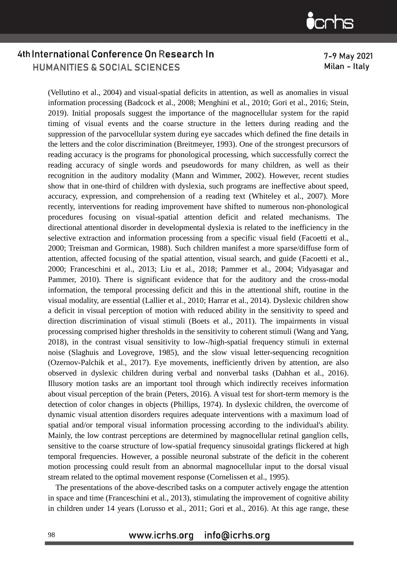7-9 May 2021 Milan - Italy

(Vellutino et al., 2004) and visual-spatial deficits in attention, as well as anomalies in visual information processing (Badcock et al., 2008; Menghini et al., 2010; Gori et al., 2016; Stein, 2019). Initial proposals suggest the importance of the magnocellular system for the rapid timing of visual events and the coarse structure in the letters during reading and the suppression of the parvocellular system during eye saccades which defined the fine details in the letters and the color discrimination (Breitmeyer, 1993). One of the strongest precursors of reading accuracy is the programs for phonological processing, which successfully correct the reading accuracy of single words and pseudowords for many children, as well as their recognition in the auditory modality (Mann and Wimmer, 2002). However, recent studies show that in one-third of children with dyslexia, such programs are ineffective about speed, accuracy, expression, and comprehension of a reading text (Whiteley et al., 2007). More recently, interventions for reading improvement have shifted to numerous non-phonological procedures focusing on visual-spatial attention deficit and related mechanisms. The directional attentional disorder in developmental dyslexia is related to the inefficiency in the selective extraction and information processing from a specific visual field (Facoetti et al., 2000; Treisman and Gormican, 1988). Such children manifest a more sparse/diffuse form of attention, affected focusing of the spatial attention, visual search, and guide (Facoetti et al., 2000; Franceschini et al., 2013; Liu et al., 2018; Pammer et al., 2004; Vidyasagar and Pammer, 2010). There is significant evidence that for the auditory and the cross-modal information, the temporal processing deficit and this in the attentional shift, routine in the visual modality, are essential (Lallier et al., 2010; Harrar et al., 2014). Dyslexic children show a deficit in visual perception of motion with reduced ability in the sensitivity to speed and direction discrimination of visual stimuli (Boets et al., 2011). The impairments in visual processing comprised higher thresholds in the sensitivity to coherent stimuli (Wang and Yang, 2018), in the contrast visual sensitivity to low-/high-spatial frequency stimuli in external noise (Slaghuis and Lovegrove, 1985), and the slow visual letter-sequencing recognition (Ozernov-Palchik et al., 2017). Eye movements, inefficiently driven by attention, are also observed in dyslexic children during verbal and nonverbal tasks (Dahhan et al., 2016). Illusory motion tasks are an important tool through which indirectly receives information about visual perception of the brain (Peters, 2016). A visual test for short-term memory is the detection of color changes in objects (Phillips, 1974). In dyslexic children, the overcome of dynamic visual attention disorders requires adequate interventions with a maximum load of spatial and/or temporal visual information processing according to the individual's ability. Mainly, the low contrast perceptions are determined by magnocellular retinal ganglion cells, sensitive to the coarse structure of low-spatial frequency sinusoidal gratings flickered at high temporal frequencies. However, a possible neuronal substrate of the deficit in the coherent motion processing could result from an abnormal magnocellular input to the dorsal visual stream related to the optimal movement response (Cornelissen et al., 1995).

The presentations of the above-described tasks on a computer actively engage the attention in space and time (Franceschini et al., 2013), stimulating the improvement of cognitive ability in children under 14 years (Lorusso et al., 2011; Gori et al., 2016). At this age range, these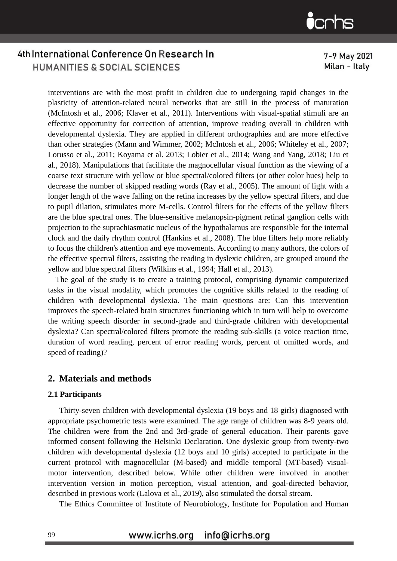7-9 May 2021 Milan - Italy

interventions are with the most profit in children due to undergoing rapid changes in the plasticity of attention-related neural networks that are still in the process of maturation (McIntosh et al., 2006; Klaver et al., 2011). Interventions with visual-spatial stimuli are an effective opportunity for correction of attention, improve reading overall in children with developmental dyslexia. They are applied in different orthographies and are more effective than other strategies (Mann and Wimmer, 2002; McIntosh et al., 2006; Whiteley et al., 2007; Lorusso et al., 2011; Koyama et al. 2013; Lobier et al., 2014; Wang and Yang, 2018; Liu et al., 2018). Manipulations that facilitate the magnocellular visual function as the viewing of a coarse text structure with yellow or blue spectral/colored filters (or other color hues) help to decrease the number of skipped reading words (Ray et al., 2005). The amount of light with a longer length of the wave falling on the retina increases by the yellow spectral filters, and due to pupil dilation, stimulates more M-cells. Control filters for the effects of the yellow filters are the blue spectral ones. The blue-sensitive melanopsin-pigment retinal ganglion cells with projection to the suprachiasmatic nucleus of the hypothalamus are responsible for the internal clock and the daily rhythm control (Hankins et al., 2008). The blue filters help more reliably to focus the children's attention and eye movements. According to many authors, the colors of the effective spectral filters, assisting the reading in dyslexic children, are grouped around the yellow and blue spectral filters (Wilkins et al., 1994; Hall et al., 2013).

The goal of the study is to create a training protocol, comprising dynamic computerized tasks in the visual modality, which promotes the cognitive skills related to the reading of children with developmental dyslexia. The main questions are: Can this intervention improves the speech-related brain structures functioning which in turn will help to overcome the writing speech disorder in second-grade and third-grade children with developmental dyslexia? Can spectral/colored filters promote the reading sub-skills (a voice reaction time, duration of word reading, percent of error reading words, percent of omitted words, and speed of reading)?

### **2. Materials and methods**

#### **2.1 Participants**

Thirty-seven children with developmental dyslexia (19 boys and 18 girls) diagnosed with appropriate psychometric tests were examined. The age range of children was 8-9 years old. The children were from the 2nd and 3rd-grade of general education. Their parents gave informed consent following the Helsinki Declaration. One dyslexic group from twenty-two children with developmental dyslexia (12 boys and 10 girls) accepted to participate in the current protocol with magnocellular (M-based) and middle temporal (MT-based) visualmotor intervention, described below. While other children were involved in another intervention version in motion perception, visual attention, and goal-directed behavior, described in previous work (Lalova et al., 2019), also stimulated the dorsal stream.

The Ethics Committee of Institute of Neurobiology, Institute for Population and Human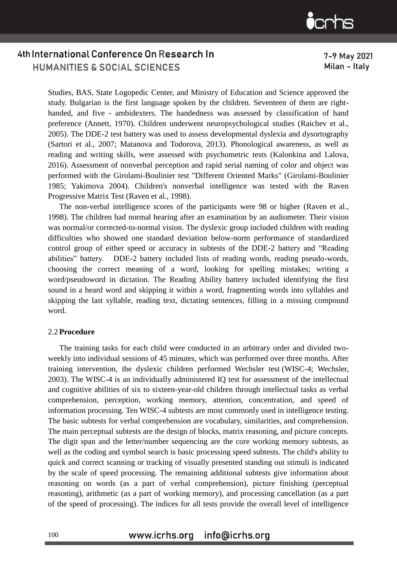7-9 May 2021 Milan - Italy

Studies, BAS, State Logopedic Center, and Ministry of Education and Science approved the study. Bulgarian is the first language spoken by the children. Seventeen of them are righthanded, and five - ambidexters. The handedness was assessed by classification of hand preference (Annett, 1970). Children underwent neuropsychological studies (Raichev et al., 2005). The DDE-2 test battery was used to assess developmental dyslexia and dysortography (Sartori et al., 2007; Matanova and Todorova, 2013). Phonological awareness, as well as reading and writing skills, were assessed with psychometric tests (Kalonkina and Lalova, 2016). Assessment of nonverbal perception and rapid serial naming of color and object was performed with the Girolami-Boulinier test "Different Oriented Marks" (Girolami-Boulinier 1985; Yakimova 2004). Children's nonverbal intelligence was tested with the Raven Progressive Matrix Test (Raven et al., 1998).

The non-verbal intelligence scores of the participants were 98 or higher (Raven et al., 1998). The children had normal hearing after an examination by an audiometer. Their vision was normal/or corrected-to-normal vision. The dyslexic group included children with reading difficulties who showed one standard deviation below-norm performance of standardized control group of either speed or accuracy in subtests of the DDE-2 battery and "Reading abilities" battery. DDE-2 battery included lists of reading words, reading pseudo-words, choosing the correct meaning of a word, looking for spelling mistakes; writing a word/pseudoword in dictation. The Reading Ability battery included identifying the first sound in a heard word and skipping it within a word, fragmenting words into syllables and skipping the last syllable, reading text, dictating sentences, filling in a missing compound word.

#### 2.2 **Procedure**

The training tasks for each child were conducted in an arbitrary order and divided twoweekly into individual sessions of 45 minutes, which was performed over three months. After training intervention, the dyslexic children performed Wechsler test (WISC-4; Wechsler, 2003). The WISC-4 is an individually administered IQ test for assessment of the intellectual and cognitive abilities of six to sixteen-year-old children through intellectual tasks as verbal comprehension, perception, working memory, attention, concentration, and speed of information processing. Ten WISC-4 subtests are most commonly used in intelligence testing. The basic subtests for verbal comprehension are vocabulary, similarities, and comprehension. The main perceptual subtests are the design of blocks, matrix reasoning, and picture concepts. The digit span and the letter/number sequencing are the core working memory subtests, as well as the coding and symbol search is basic processing speed subtests. The child's ability to quick and correct scanning or tracking of visually presented standing out stimuli is indicated by the scale of speed processing. The remaining additional subtests give information about reasoning on words (as a part of verbal comprehension), picture finishing (perceptual reasoning), arithmetic (as a part of working memory), and processing cancellation (as a part of the speed of processing). The indices for all tests provide the overall level of intelligence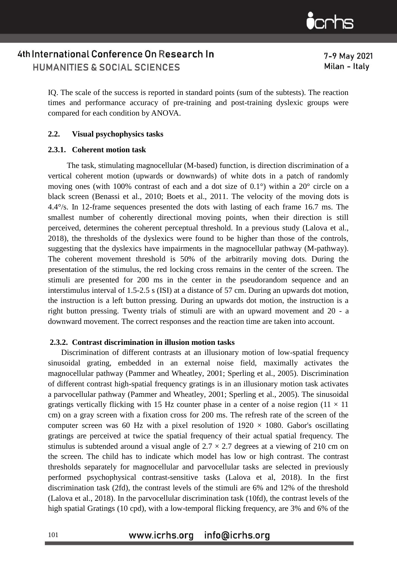7-9 May 2021 Milan - Italy

IQ. The scale of the success is reported in standard points (sum of the subtests). The reaction times and performance accuracy of pre-training and post-training dyslexic groups were compared for each condition by ANOVA.

#### **2.2. Visual psychophysics tasks**

#### **2.3.1. Coherent motion task**

The task, stimulating magnocellular (M-based) function, is direction discrimination of a vertical coherent motion (upwards or downwards) of white dots in a patch of randomly moving ones (with 100% contrast of each and a dot size of 0.1°) within a 20° circle on a black screen (Benassi et al., 2010; Boets et al., 2011. The velocity of the moving dots is 4.4°/s. In 12-frame sequences presented the dots with lasting of each frame 16.7 ms. The smallest number of coherently directional moving points, when their direction is still perceived, determines the coherent perceptual threshold. In a previous study (Lalova et al., 2018), the thresholds of the dyslexics were found to be higher than those of the controls, suggesting that the dyslexics have impairments in the magnocellular pathway (M-pathway). The coherent movement threshold is 50% of the arbitrarily moving dots. During the presentation of the stimulus, the red locking cross remains in the center of the screen. The stimuli are presented for 200 ms in the center in the pseudorandom sequence and an interstimulus interval of 1.5-2.5 s (ISI) at a distance of 57 cm. During an upwards dot motion, the instruction is a left button pressing. During an upwards dot motion, the instruction is a right button pressing. Twenty trials of stimuli are with an upward movement and 20 - a downward movement. The correct responses and the reaction time are taken into account.

#### **2.3.2. Contrast discrimination in illusion motion tasks**

Discrimination of different contrasts at an illusionary motion of low-spatial frequency sinusoidal grating, embedded in an external noise field, maximally activates the magnocellular pathway (Pammer and Wheatley, 2001; Sperling et al., 2005). Discrimination of different contrast high-spatial frequency gratings is in an illusionary motion task activates a parvocellular pathway (Pammer and Wheatley, 2001; Sperling et al., 2005). The sinusoidal gratings vertically flicking with 15 Hz counter phase in a center of a noise region ( $11 \times 11$ ) cm) on a gray screen with a fixation cross for 200 ms. The refresh rate of the screen of the computer screen was 60 Hz with a pixel resolution of  $1920 \times 1080$ . Gabor's oscillating gratings are perceived at twice the spatial frequency of their actual spatial frequency. The stimulus is subtended around a visual angle of  $2.7 \times 2.7$  degrees at a viewing of 210 cm on the screen. The child has to indicate which model has low or high contrast. The contrast thresholds separately for magnocellular and parvocellular tasks are selected in previously performed psychophysical contrast-sensitive tasks (Lalova et al, 2018). In the first discrimination task (2fd), the contrast levels of the stimuli are 6% and 12% of the threshold (Lalova et al., 2018). In the parvocellular discrimination task (10fd), the contrast levels of the high spatial Gratings (10 cpd), with a low-temporal flicking frequency, are 3% and 6% of the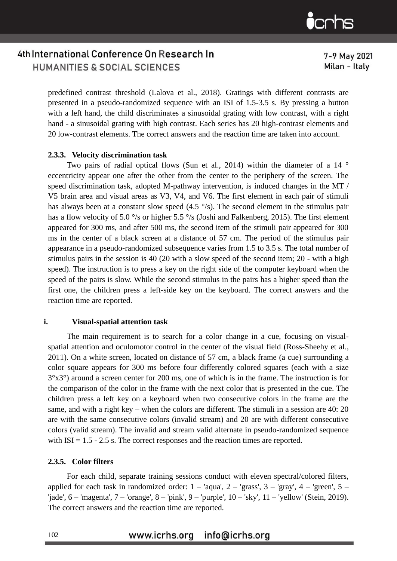7-9 May 2021 Milan - Italy

predefined contrast threshold (Lalova et al., 2018). Gratings with different contrasts are presented in a pseudo-randomized sequence with an ISI of 1.5-3.5 s. By pressing a button with a left hand, the child discriminates a sinusoidal grating with low contrast, with a right hand - a sinusoidal grating with high contrast. Each series has 20 high-contrast elements and 20 low-contrast elements. The correct answers and the reaction time are taken into account.

#### **2.3.3. Velocity discrimination task**

Two pairs of radial optical flows (Sun et al., 2014) within the diameter of a 14<sup>o</sup> eccentricity appear one after the other from the center to the periphery of the screen. The speed discrimination task, adopted M-pathway intervention, is induced changes in the MT / V5 brain area and visual areas as V3, V4, and V6. The first element in each pair of stimuli has always been at a constant slow speed  $(4.5 \degree/s)$ . The second element in the stimulus pair has a flow velocity of 5.0 °/s or higher 5.5 °/s (Joshi and Falkenberg, 2015). The first element appeared for 300 ms, and after 500 ms, the second item of the stimuli pair appeared for 300 ms in the center of a black screen at a distance of 57 cm. The period of the stimulus pair appearance in a pseudo-randomized subsequence varies from 1.5 to 3.5 s. The total number of stimulus pairs in the session is 40 (20 with a slow speed of the second item; 20 - with a high speed). The instruction is to press a key on the right side of the computer keyboard when the speed of the pairs is slow. While the second stimulus in the pairs has a higher speed than the first one, the children press a left-side key on the keyboard. The correct answers and the reaction time are reported.

#### **i. Visual-spatial attention task**

The main requirement is to search for a color change in a cue, focusing on visualspatial attention and oculomotor control in the center of the visual field (Ross-Sheehy et al., 2011). On a white screen, located on distance of 57 cm, a black frame (a cue) surrounding a color square appears for 300 ms before four differently colored squares (each with a size 3°x3°) around a screen center for 200 ms, one of which is in the frame. The instruction is for the comparison of the color in the frame with the next color that is presented in the cue. The children press a left key on a keyboard when two consecutive colors in the frame are the same, and with a right key – when the colors are different. The stimuli in a session are 40: 20 are with the same consecutive colors (invalid stream) and 20 are with different consecutive colors (valid stream). The invalid and stream valid alternate in pseudo-randomized sequence with  $ISI = 1.5 - 2.5$  s. The correct responses and the reaction times are reported.

#### **2.3.5. Color filters**

For each child, separate training sessions conduct with eleven spectral/colored filters, applied for each task in randomized order:  $1 - \text{'aqua}$ ,  $2 - \text{'grass}$ ,  $3 - \text{'}gray}$ ,  $4 - \text{'}green$ ,  $5 -$ 'jade', 6 – 'magenta', 7 – 'orange', 8 – 'pink', 9 – 'purple', 10 – 'sky', 11 – 'yellow' (Stein, 2019). The correct answers and the reaction time are reported.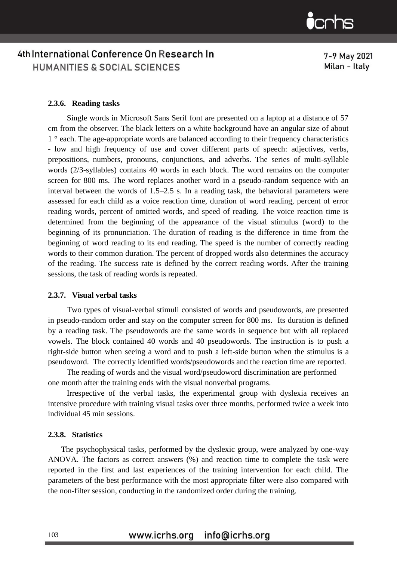7-9 May 2021 Milan - Italy

#### **2.3.6. Reading tasks**

Single words in Microsoft Sans Serif font are presented on a laptop at a distance of 57 cm from the observer. The black letters on a white background have an angular size of about 1 ° each. The age-appropriate words are balanced according to their frequency characteristics - low and high frequency of use and cover different parts of speech: adjectives, verbs, prepositions, numbers, pronouns, conjunctions, and adverbs. The series of multi-syllable words (2/3-syllables) contains 40 words in each block. The word remains on the computer screen for 800 ms. The word replaces another word in a pseudo-random sequence with an interval between the words of 1.5–2.5 s. In a reading task, the behavioral parameters were assessed for each child as a voice reaction time, duration of word reading, percent of error reading words, percent of omitted words, and speed of reading. The voice reaction time is determined from the beginning of the appearance of the visual stimulus (word) to the beginning of its pronunciation. The duration of reading is the difference in time from the beginning of word reading to its end reading. The speed is the number of correctly reading words to their common duration. The percent of dropped words also determines the accuracy of the reading. The success rate is defined by the correct reading words. After the training sessions, the task of reading words is repeated.

#### **2.3.7. Visual verbal tasks**

Two types of visual-verbal stimuli consisted of words and pseudowords, are presented in pseudo-random order and stay on the computer screen for 800 ms. Its duration is defined by a reading task. The pseudowords are the same words in sequence but with all replaced vowels. The block contained 40 words and 40 pseudowords. The instruction is to push a right-side button when seeing a word and to push a left-side button when the stimulus is a pseudoword. The correctly identified words/pseudowords and the reaction time are reported.

The reading of words and the visual word/pseudoword discrimination are performed one month after the training ends with the visual nonverbal programs.

Irrespective of the verbal tasks, the experimental group with dyslexia receives an intensive procedure with training visual tasks over three months, performed twice a week into individual 45 min sessions.

#### **2.3.8. Statistics**

The psychophysical tasks, performed by the dyslexic group, were analyzed by one-way ANOVA. The factors as correct answers (%) and reaction time to complete the task were reported in the first and last experiences of the training intervention for each child. The parameters of the best performance with the most appropriate filter were also compared with the non-filter session, conducting in the randomized order during the training.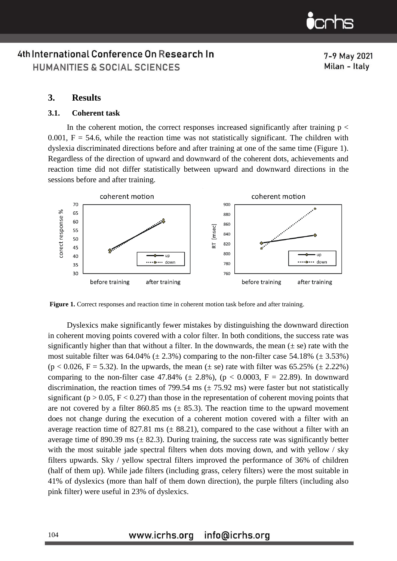7-9 May 2021 Milan - Italy

### **3. Results**

### **3.1. Coherent task**

In the coherent motion, the correct responses increased significantly after training  $p <$ 0.001,  $F = 54.6$ , while the reaction time was not statistically significant. The children with dyslexia discriminated directions before and after training at one of the same time (Figure 1). Regardless of the direction of upward and downward of the coherent dots, achievements and reaction time did not differ statistically between upward and downward directions in the sessions before and after training.



**Figure 1.** Correct responses and reaction time in coherent motion task before and after training*.*

Dyslexics make significantly fewer mistakes by distinguishing the downward direction in coherent moving points covered with a color filter. In both conditions, the success rate was significantly higher than that without a filter. In the downwards, the mean  $(\pm s$ e) rate with the most suitable filter was  $64.04\%$  ( $\pm 2.3\%$ ) comparing to the non-filter case  $54.18\%$  ( $\pm 3.53\%$ )  $(p < 0.026, F = 5.32)$ . In the upwards, the mean  $(\pm \text{ se})$  rate with filter was 65.25%  $(\pm 2.22\%)$ comparing to the non-filter case 47.84% ( $\pm$  2.8%), ( $p < 0.0003$ , F = 22.89). In downward discrimination, the reaction times of 799.54 ms  $(\pm 75.92 \text{ ms})$  were faster but not statistically significant ( $p > 0.05$ ,  $F < 0.27$ ) than those in the representation of coherent moving points that are not covered by a filter 860.85 ms  $(\pm 85.3)$ . The reaction time to the upward movement does not change during the execution of a coherent motion covered with a filter with an average reaction time of 827.81 ms  $(\pm 88.21)$ , compared to the case without a filter with an average time of 890.39 ms  $(\pm 82.3)$ . During training, the success rate was significantly better with the most suitable jade spectral filters when dots moving down, and with yellow / sky filters upwards. Sky / yellow spectral filters improved the performance of 36% of children (half of them up). While jade filters (including grass, celery filters) were the most suitable in 41% of dyslexics (more than half of them down direction), the purple filters (including also pink filter) were useful in 23% of dyslexics.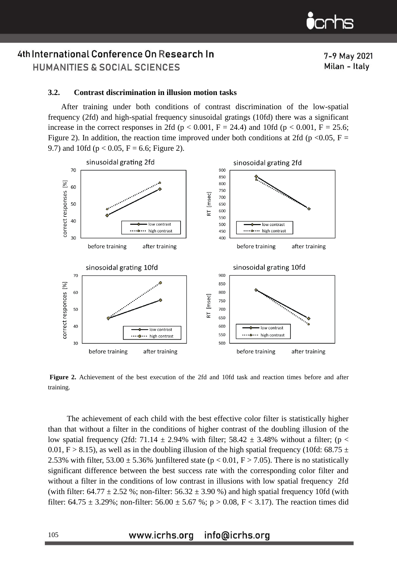7-9 May 2021

Milan - Italy

### 4th International Conference On Research In HUMANITIES & SOCIAL SCIENCES

#### **3.2. Contrast discrimination in illusion motion tasks**

After training under both conditions of contrast discrimination of the low-spatial frequency (2fd) and high-spatial frequency sinusoidal gratings (10fd) there was a significant increase in the correct responses in 2fd ( $p < 0.001$ ,  $F = 24.4$ ) and 10fd ( $p < 0.001$ ,  $F = 25.6$ ; Figure 2). In addition, the reaction time improved under both conditions at 2fd (p <0.05, F = 9.7) and 10fd ( $p < 0.05$ ,  $F = 6.6$ ; Figure 2).



**Figure 2.** Achievement of the best execution of the 2fd and 10fd task and reaction times before and after training.

The achievement of each child with the best effective color filter is statistically higher than that without a filter in the conditions of higher contrast of the doubling illusion of the low spatial frequency (2fd: 71.14  $\pm$  2.94% with filter; 58.42  $\pm$  3.48% without a filter; (p < 0.01, F > 8.15), as well as in the doubling illusion of the high spatial frequency (10fd: 68.75  $\pm$ 2.53% with filter, 53.00  $\pm$  5.36% )unfiltered state (p < 0.01, F > 7.05). There is no statistically significant difference between the best success rate with the corresponding color filter and without a filter in the conditions of low contrast in illusions with low spatial frequency 2fd (with filter:  $64.77 \pm 2.52$  %; non-filter:  $56.32 \pm 3.90$  %) and high spatial frequency 10fd (with filter:  $64.75 \pm 3.29\%$ ; non-filter:  $56.00 \pm 5.67\%$ ; p > 0.08, F < 3.17). The reaction times did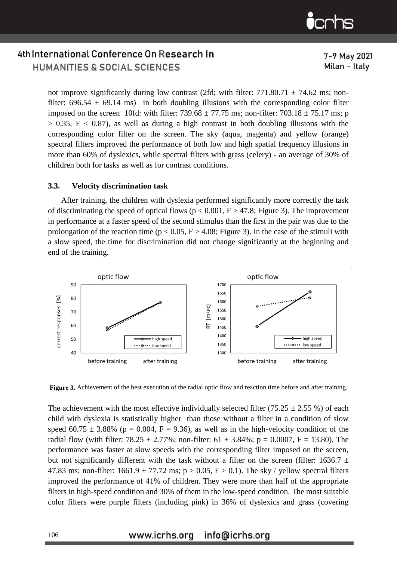7-9 May 2021

Milan - Italy

## 4th International Conference On Research In HUMANITIES & SOCIAL SCIENCES

not improve significantly during low contrast (2fd; with filter:  $771.80.71 \pm 74.62$  ms; nonfilter:  $696.54 \pm 69.14$  ms) in both doubling illusions with the corresponding color filter imposed on the screen 10fd: with filter:  $739.68 \pm 77.75$  ms; non-filter:  $703.18 \pm 75.17$  ms; p  $> 0.35$ ,  $F < 0.87$ ), as well as during a high contrast in both doubling illusions with the corresponding color filter on the screen. The sky (aqua, magenta) and yellow (orange) spectral filters improved the performance of both low and high spatial frequency illusions in more than 60% of dyslexics, while spectral filters with grass (celery) - an average of 30% of children both for tasks as well as for contrast conditions.

#### **3.3. Velocity discrimination task**

After training, the children with dyslexia performed significantly more correctly the task of discriminating the speed of optical flows ( $p < 0.001$ ,  $F > 47.8$ ; Figure 3). The improvement in performance at a faster speed of the second stimulus than the first in the pair was due to the prolongation of the reaction time ( $p < 0.05$ ,  $F > 4.08$ ; Figure 3). In the case of the stimuli with a slow speed, the time for discrimination did not change significantly at the beginning and end of the training.



**Figure 3.** Achievement of the best execution of the radial optic flow and reaction time before and after training.

The achievement with the most effective individually selected filter (75.25  $\pm$  2.55 %) of each child with dyslexia is statistically higher than those without a filter in a condition of slow speed 60.75  $\pm$  3.88% (p = 0.004, F = 9.36), as well as in the high-velocity condition of the radial flow (with filter:  $78.25 \pm 2.77\%$ ; non-filter:  $61 \pm 3.84\%$ ; p = 0.0007, F = 13.80). The performance was faster at slow speeds with the corresponding filter imposed on the screen, but not significantly different with the task without a filter on the screen (filter: 1636.7  $\pm$ 47.83 ms; non-filter:  $1661.9 \pm 77.72$  ms;  $p > 0.05$ ,  $F > 0.1$ ). The sky / yellow spectral filters improved the performance of 41% of children. They were more than half of the appropriate filters in high-speed condition and 30% of them in the low-speed condition. The most suitable color filters were purple filters (including pink) in 36% of dyslexics and grass (covering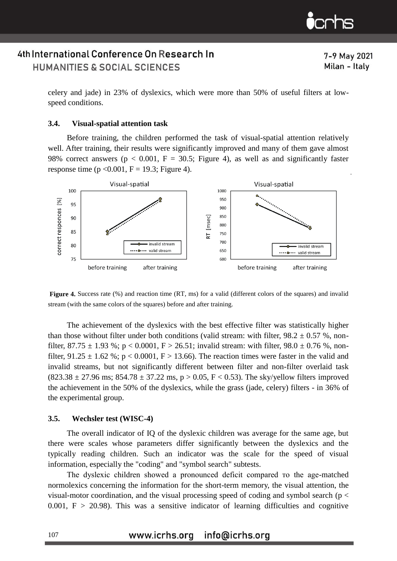7-9 May 2021 Milan - Italy

celery and jade) in 23% of dyslexics, which were more than 50% of useful filters at lowspeed conditions.

#### **3.4. Visual-spatial attention task**

Before training, the children performed the task of visual-spatial attention relatively well. After training, their results were significantly improved and many of them gave almost 98% correct answers ( $p < 0.001$ ,  $F = 30.5$ ; Figure 4), as well as and significantly faster response time ( $p < 0.001$ ,  $F = 19.3$ ; Figure 4).



**Figure 4.** Success rate (%) and reaction time (RT, ms) for a valid (different colors of the squares) and invalid stream (with the same colors of the squares) before and after training.

The achievement of the dyslexics with the best effective filter was statistically higher than those without filter under both conditions (valid stream: with filter,  $98.2 \pm 0.57$  %, nonfilter,  $87.75 \pm 1.93$  %; p < 0.0001, F > 26.51; invalid stream: with filter,  $98.0 \pm 0.76$  %, nonfilter,  $91.25 \pm 1.62$  %; p < 0.0001, F > 13.66). The reaction times were faster in the valid and invalid streams, but not significantly different between filter and non-filter overlaid task  $(823.38 \pm 27.96 \text{ ms}; 854.78 \pm 37.22 \text{ ms}, p > 0.05, F < 0.53)$ . The sky/yellow filters improved the achievement in the 50% of the dyslexics, while the grass (jade, celery) filters - in 36% of the experimental group.

#### **3.5. Wechsler test (WISC-4)**

The overall indicator of IQ of the dyslexic children was average for the same age, but there were scales whose parameters differ significantly between the dyslexics and the typically reading children. Such an indicator was the scale for the speed of visual information, especially the "coding" and "symbol search" subtests.

The dyslexic children showed a pronounced deficit compared то the age-matched normolexics concerning the information for the short-term memory, the visual attention, the visual-motor coordination, and the visual processing speed of coding and symbol search (p < 0.001,  $F > 20.98$ ). This was a sensitive indicator of learning difficulties and cognitive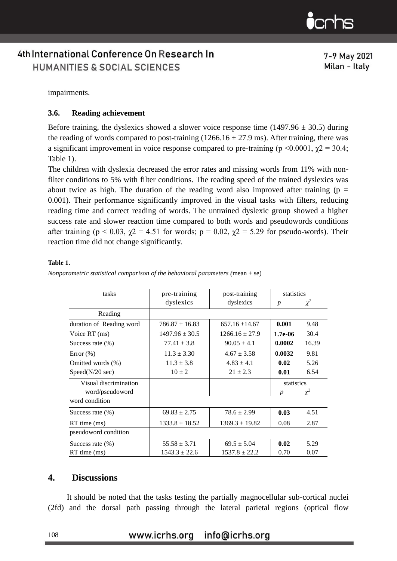7-9 May 2021 Milan - Italy

impairments.

### **3.6. Reading achievement**

Before training, the dyslexics showed a slower voice response time (1497.96  $\pm$  30.5) during the reading of words compared to post-training  $(1266.16 \pm 27.9 \text{ ms})$ . After training, there was a significant improvement in voice response compared to pre-training ( $p \le 0.0001$ ,  $\chi$ 2 = 30.4; Table 1).

The children with dyslexia decreased the error rates and missing words from 11% with nonfilter conditions to 5% with filter conditions. The reading speed of the trained dyslexics was about twice as high. The duration of the reading word also improved after training ( $p =$ 0.001). Their performance significantly improved in the visual tasks with filters, reducing reading time and correct reading of words. The untrained dyslexic group showed a higher success rate and slower reaction time compared to both words and pseudowords conditions after training ( $p < 0.03$ ,  $\chi$ 2 = 4.51 for words;  $p = 0.02$ ,  $\chi$ 2 = 5.29 for pseudo-words). Their reaction time did not change significantly.

#### **Table 1.**

| tasks                    | pre-training       | post-training      | statistics       |          |
|--------------------------|--------------------|--------------------|------------------|----------|
|                          | dyslexics          | dyslexics          | $\boldsymbol{p}$ | $\chi^2$ |
| Reading                  |                    |                    |                  |          |
| duration of Reading word | $786.87 \pm 16.83$ | $657.16 \pm 14.67$ | 0.001            | 9.48     |
| Voice RT (ms)            | $1497.96 \pm 30.5$ | $1266.16 \pm 27.9$ | $1.7e-06$        | 30.4     |
| Success rate $(\% )$     | $77.41 \pm 3.8$    | $90.05 \pm 4.1$    | 0.0002           | 16.39    |
| Error (%)                | $11.3 \pm 3.30$    | $4.67 \pm 3.58$    | 0.0032           | 9.81     |
| Omitted words (%)        | $11.3 \pm 3.8$     | $4.83 \pm 4.1$     | 0.02             | 5.26     |
| Speed(N/20 sec)          | $10 \pm 2$         | $21 \pm 2.3$       | 0.01             | 6.54     |
| Visual discrimination    |                    |                    | statistics       |          |
| word/pseudoword          |                    |                    |                  |          |
| word condition           |                    |                    |                  |          |
| Success rate $(\%)$      | $69.83 \pm 2.75$   | $78.6 \pm 2.99$    | 0.03             | 4.51     |
| RT time (ms)             | $1333.8 \pm 18.52$ | $1369.3 \pm 19.82$ | 0.08             | 2.87     |
| pseudoword condition     |                    |                    |                  |          |
| Success rate $(\% )$     | $55.58 \pm 3.71$   | $69.5 \pm 5.04$    | 0.02             | 5.29     |
| $RT$ time $(ms)$         | $1543.3 \pm 22.6$  | $1537.8 \pm 22.2$  | 0.70             | 0.07     |

*Nonparametric statistical comparison of the behavioral parameters (mean*  $\pm$  se)

### **4. Discussions**

It should be noted that the tasks testing the partially magnocellular sub-cortical nuclei (2fd) and the dorsal path passing through the lateral parietal regions (optical flow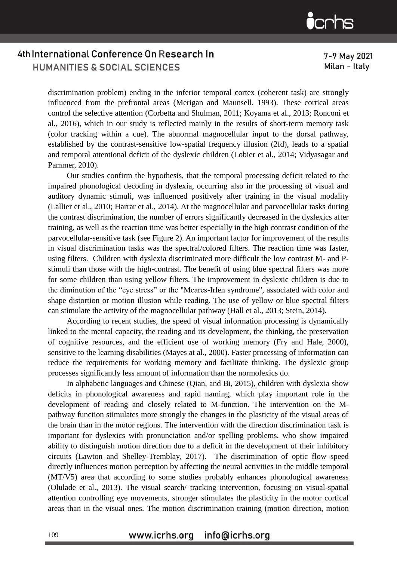7-9 May 2021 Milan - Italy

discrimination problem) ending in the inferior temporal cortex (coherent task) are strongly influenced from the prefrontal areas (Merigan and Maunsell, 1993). These cortical areas control the selective attention (Corbetta and Shulman, 2011; Koyama et al., 2013; Ronconi et al., 2016), which in our study is reflected mainly in the results of short-term memory task (color tracking within a cue). The abnormal magnocellular input to the dorsal pathway, established by the contrast-sensitive low-spatial frequency illusion (2fd), leads to a spatial and temporal attentional deficit of the dyslexic children (Lobier et al., 2014; Vidyasagar and Pammer, 2010).

Our studies confirm the hypothesis, that the temporal processing deficit related to the impaired phonological decoding in dyslexia, occurring also in the processing of visual and auditory dynamic stimuli, was influenced positively after training in the visual modality (Lallier et al., 2010; Harrar et al., 2014). At the magnocellular and parvocellular tasks during the contrast discrimination, the number of errors significantly decreased in the dyslexics after training, as well as the reaction time was better especially in the high contrast condition of the parvocellular-sensitive task (see Figure 2). An important factor for improvement of the results in visual discrimination tasks was the spectral/colored filters. The reaction time was faster, using filters. Children with dyslexia discriminated more difficult the low contrast M- and Pstimuli than those with the high-contrast. The benefit of using blue spectral filters was more for some children than using yellow filters. The improvement in dyslexic children is due to the diminution of the "eye stress" or the "Meares-Irlen syndrome", associated with color and shape distortion or motion illusion while reading. The use of yellow or blue spectral filters can stimulate the activity of the magnocellular pathway (Hall et al., 2013; Stein, 2014).

According to recent studies, the speed of visual information processing is dynamically linked to the mental capacity, the reading and its development, the thinking, the preservation of cognitive resources, and the efficient use of working memory (Fry and Hale, 2000), sensitive to the learning disabilities (Mayes at al., 2000). Faster processing of information can reduce the requirements for working memory and facilitate thinking. The dyslexic group processes significantly less amount of information than the normolexics do.

In alphabetic languages and Chinese (Qian, and Bi, 2015), children with dyslexia show deficits in phonological awareness and rapid naming, which play important role in the development of reading and closely related to M-function. The intervention on the Mpathway function stimulates more strongly the changes in the plasticity of the visual areas of the brain than in the motor regions. The intervention with the direction discrimination task is important for dyslexics with pronunciation and/or spelling problems, who show impaired ability to distinguish motion direction due to a deficit in the development of their inhibitory circuits (Lawton and Shelley-Tremblay, 2017). The discrimination of optic flow speed directly influences motion perception by affecting the neural activities in the middle temporal (MT/V5) area that according to some studies probably enhances phonological awareness (Olulade et al., 2013). The visual search/ tracking intervention, focusing on visual-spatial attention controlling eye movements, stronger stimulates the plasticity in the motor cortical areas than in the visual ones. The motion discrimination training (motion direction, motion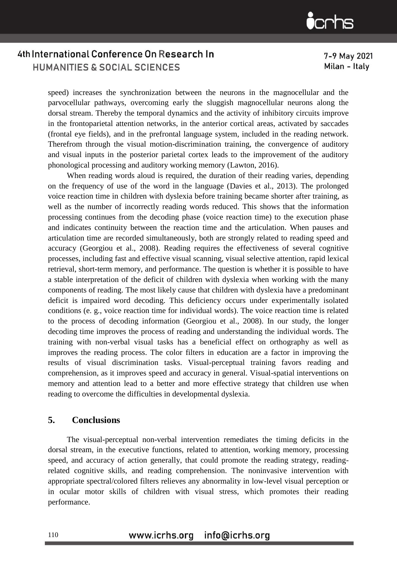7-9 May 2021 Milan - Italy

speed) increases the synchronization between the neurons in the magnocellular and the parvocellular pathways, overcoming early the sluggish magnocellular neurons along the dorsal stream. Thereby the temporal dynamics and the activity of inhibitory circuits improve in the frontoparietal attention networks, in the anterior cortical areas, activated by saccades (frontal eye fields), and in the prefrontal language system, included in the reading network. Therefrom through the visual motion-discrimination training, the convergence of auditory and visual inputs in the posterior parietal cortex leads to the improvement of the auditory phonological processing and auditory working memory (Lawton, 2016).

When reading words aloud is required, the duration of their reading varies, depending on the frequency of use of the word in the language (Davies et al., 2013). The prolonged voice reaction time in children with dyslexia before training became shorter after training, as well as the number of incorrectly reading words reduced. This shows that the information processing continues from the decoding phase (voice reaction time) to the execution phase and indicates continuity between the reaction time and the articulation. When pauses and articulation time are recorded simultaneously, both are strongly related to reading speed and accuracy (Georgiou et al., 2008). Reading requires the effectiveness of several cognitive processes, including fast and effective visual scanning, visual selective attention, rapid lexical retrieval, short-term memory, and performance. The question is whether it is possible to have a stable interpretation of the deficit of children with dyslexia when working with the many components of reading. The most likely cause that children with dyslexia have a predominant deficit is impaired word decoding. This deficiency occurs under experimentally isolated conditions (e. g., voice reaction time for individual words). The voice reaction time is related to the process of decoding information (Georgiou et al., 2008). In our study, the longer decoding time improves the process of reading and understanding the individual words. The training with non-verbal visual tasks has a beneficial effect on orthography as well as improves the reading process. The color filters in education are a factor in improving the results of visual discrimination tasks. Visual-perceptual training favors reading and comprehension, as it improves speed and accuracy in general. Visual-spatial interventions on memory and attention lead to a better and more effective strategy that children use when reading to overcome the difficulties in developmental dyslexia.

### **5. Conclusions**

The visual-perceptual non-verbal intervention remediates the timing deficits in the dorsal stream, in the executive functions, related to attention, working memory, processing speed, and accuracy of action generally, that could promote the reading strategy, readingrelated cognitive skills, and reading comprehension. The noninvasive intervention with appropriate spectral/colored filters relieves any abnormality in low-level visual perception or in ocular motor skills of children with visual stress, which promotes their reading performance.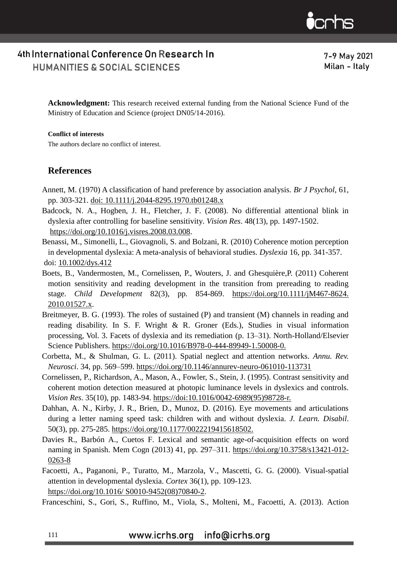$\mathbf{\dot{c}}$ crhs

7-9 May 2021 Milan - Italy

**Acknowledgment:** This research received external funding from the National Science Fund of the Ministry of Education and Science (project DN05/14-2016).

### **Conflict of interests**

The authors declare no conflict of interest.

### **References**

- Annett, M. (1970) A classification of hand preference by association analysis. *Br J Psychol*, 61, pp. 303-321. doi: [10.1111/j.2044-8295.1970.tb01248.x](https://doi.org/10.1111/j.2044-8295.1970.tb01248.x)
- Badcock, N. A., Hogben, J. H., Fletcher, J. F. (2008). No differential attentional blink in dyslexia after controlling for baseline sensitivity. *Vision Res*. 48(13), pp. 1497-1502. [https://doi.org/10.1016/j.visres.2008.03.008.](https://doi.org/10.1016/j.visres.2008.03.008)
- Benassi, M., Simonelli, L., Giovagnoli, S. and Bolzani, R. (2010) Coherence motion perception in developmental dyslexia: A meta-analysis of behavioral studies. *Dyslexia* 16, pp. 341-357. doi: [10.1002/dys.412](https://doi.org/10.1002/dys.412)
- Boets, B., Vandermosten, M., Cornelissen, P., Wouters, J. and Ghesquière,P. (2011) Coherent motion sensitivity and reading development in the transition from prereading to reading stage. *Child Development* 82(3), pp. 854-869. [https://doi.org/10.1111/jM467-8624.](https://doi.org/10.1111/j.1467-8624.2010.01527.x) [2010.01527.x.](https://doi.org/10.1111/j.1467-8624.2010.01527.x)
- Breitmeyer, B. G. (1993). The roles of sustained (P) and transient (M) channels in reading and reading disability. In S. F. Wright & R. Groner (Eds.), Studies in visual information processing, Vol. 3. Facets of dyslexia and its remediation (p. 13–31). North-Holland/Elsevier Science Publishers. [https://doi.org/10.1016/B978-0-444-89949-1.50008-0.](https://psycnet.apa.org/doi/10.1016/B978-0-444-89949-1.50008-0)
- Corbetta, M., & Shulman, G. L. (2011). Spatial neglect and attention networks*. Annu. Rev. Neurosci*. 34, pp. 569–599. <https://doi.org/10.1146/annurev-neuro-061010-113731>
- [Cornelissen,](https://pubmed.ncbi.nlm.nih.gov/?term=Cornelissen+P&cauthor_id=7645277) P., [Richardson,](https://pubmed.ncbi.nlm.nih.gov/?term=Richardson+A&cauthor_id=7645277) A., [Mason,](https://pubmed.ncbi.nlm.nih.gov/?term=Mason+A&cauthor_id=7645277) A., [Fowler,](https://pubmed.ncbi.nlm.nih.gov/?term=Fowler+S&cauthor_id=7645277) S., [Stein,](https://pubmed.ncbi.nlm.nih.gov/?term=Stein+J&cauthor_id=7645277) J. (1995). Contrast sensitivity and coherent motion detection measured at photopic luminance levels in dyslexics and controls. *Vision Res*. 35(10), pp. 1483-94. https://doi[:10.1016/0042-6989\(95\)98728-r.](https://doi.org/10.1016/0042-6989(95)98728-r)
- Dahhan, A. N., Kirby, J. R., Brien, D., Munoz, D. (2016). Eye movements and articulations during a letter naming speed task: children with and without dyslexia. *J. Learn. Disabil*. 50(3), pp. 275-285. [https://doi.org/10.1177/0022219415618502.](https://doi.org/10.1177/0022219415618502)
- Davies R., Barbón A., Cuetos F. Lexical and semantic age-of-acquisition effects on word naming in Spanish. Mem Cogn (2013) 41, pp. 297–311. [https://doi.org/10.3758/s13421-012-](https://doi.org/10.3758/s13421-012-0263-8) [0263-8](https://doi.org/10.3758/s13421-012-0263-8)
- Facoetti, A., Paganoni, P., Turatto, M., Marzola, V., Mascetti, G. G. (2000). Visual-spatial attention in developmental dyslexia. *Cortex* 36(1), pp. 109-123. [https://doi.org/10.1016/ S0010-9452\(08\)70840-2.](https://doi.org/10.1016/S0010-9452(08)70840-2)

Franceschini, S., Gori, S., Ruffino, M., Viola, S., Molteni, M., Facoetti, A. (2013). Action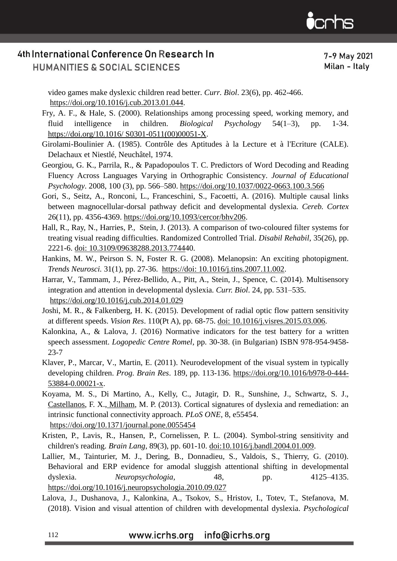

7-9 May 2021 Milan - Italy

video games make dyslexic children read better. *Curr. Biol*. 23(6), pp. 462-466. [https://doi.org/10.1016/j.cub.2013.01.044.](https://doi.org/10.1016/j.cub.2013.01.044)

[Fry,](https://www.sciencedirect.com/science/article/pii/S030105110000051X#!) A. F., [& Hale,](https://www.sciencedirect.com/science/article/pii/S030105110000051X#!) S. (2000). Relationships among processing speed, working memory, and fluid intelligence in children. *[Biological Psychology](https://www.sciencedirect.com/science/journal/03010511)* [54\(1–3\)](file:///D:/Psych%20thought/54(1–3), pp. 1-34. [https://doi.org/10.1016/ S0301-0511\(00\)00051-X.](https://doi.org/10.1016/%20S0301-0511(00)00051-X)

Girolami-Boulinier A. (1985). Contrôle des Aptitudes à la Lecture et à l'Ecriture (CALE). Delachaux et Niestlé, Neuchâtel, 1974.

- Georgiou, G. K., Parrila, R., & Papadopoulos T. C. Predictors of Word Decoding and Reading Fluency Across Languages Varying in Orthographic Consistency. *Journal of Educational Psychology*. 2008, 100 (3), pp. 566–580.<https://doi.org/10.1037/0022-0663.100.3.566>
- Gori, S., Seitz, A., Ronconi, L., Franceschini, S., Facoetti, A. (2016). Multiple causal links between magnocellular-dorsal pathway deficit and developmental dyslexia. *Cereb. Cortex* 26(11), pp. 4356-4369. <https://doi.org/10.1093/cercor/bhv206>[.](https://pubmed.ncbi.nlm.nih.gov/?term=Hall+R&cauthor_id=23627538)
- [Hall,](https://pubmed.ncbi.nlm.nih.gov/?term=Hall+R&cauthor_id=23627538) R., [Ray,](https://pubmed.ncbi.nlm.nih.gov/?term=Ray+N&cauthor_id=23627538) N., [Harries,](https://pubmed.ncbi.nlm.nih.gov/?term=Harries+P&cauthor_id=23627538) P., [Stein,](https://pubmed.ncbi.nlm.nih.gov/?term=Stein+J&cauthor_id=23627538) J. (2013). A comparison of two-coloured filter systems for treating visual reading difficulties. Randomized Controlled Trial. *Disabil Rehabil*, 35(26), pp. 2221-6. doi: 10.3109/09638288.2013.774440.
- [Hankins,](https://pubmed.ncbi.nlm.nih.gov/?term=Hankins+MW&cauthor_id=18054803) M. W., [Peirson](https://pubmed.ncbi.nlm.nih.gov/?term=Peirson+SN&cauthor_id=18054803) S. N, [Foster](https://pubmed.ncbi.nlm.nih.gov/?term=Foster+RG&cauthor_id=18054803) R. G. (2008). Melanopsin: An exciting photopigment. *Trends Neurosci.* 31(1), pp. 27-36. https://doi: 10.1016/j.tins.2007.11.002.
- Harrar, V., Tammam, J., Pérez-Bellido, A., Pitt, A., Stein, J., Spence, C. (2014). Multisensory integration and attention in developmental dyslexia. *Curr. Biol*. 24, pp. 531–535. https://doi.org/10.1016/j.cub.2014.01.029
- [Joshi,](https://pubmed.ncbi.nlm.nih.gov/?term=Joshi+MR&cauthor_id=25796975) M. R., [& Falkenberg,](https://pubmed.ncbi.nlm.nih.gov/?term=Falkenberg+HK&cauthor_id=25796975) H. K. (2015). Development of radial optic flow pattern sensitivity at different speeds. *Vision Res*. 110(Pt A), pp. 68-75. doi: 10.1016/j.visres.2015.03.006.
- Kalonkina, A., & Lalova, J. (2016) Normative indicators for the test battery for a written speech assessment. *Logopedic Centre Romel*, pp. 30-38. (in Bulgarian) ISBN 978-954-9458- 23-7
- Klaver, P., Marcar, V., Martin, E. (2011). Neurodevelopment of the visual system in typically developing children. *Prog. Brain Res*. 189, pp. 113-136. [https://doi.org/10.1016/b978-0-444-](https://doi.org/10.1016/b978-0-444-53884-0.00021-x) [53884-0.00021-x.](https://doi.org/10.1016/b978-0-444-53884-0.00021-x)
- Koyama, M. S., Di Martino, A., Kelly, C., Jutagir, D. R., Sunshine, J., Schwartz, S. J.[,](https://pubmed.ncbi.nlm.nih.gov/?term=Castellanos+FX&cauthor_id=23408984) [Castellanos,](https://pubmed.ncbi.nlm.nih.gov/?term=Castellanos+FX&cauthor_id=23408984) F. X., [Milham,](https://pubmed.ncbi.nlm.nih.gov/?term=Milham+MP&cauthor_id=23408984) M. P. (2013). Cortical signatures of dyslexia and remediation: an intrinsic functional connectivity approach. *PLoS ONE*, 8, e55454. [https://doi.org/10.1371/j](https://doi.org/10.1371/)ournal.pone.0055454
- Kristen, P., [Lavis,](https://pubmed.ncbi.nlm.nih.gov/?term=Lavis+R&cauthor_id=15120551) R., [Hansen,](https://pubmed.ncbi.nlm.nih.gov/?term=Hansen+P&cauthor_id=15120551) P., [Cornelissen,](https://pubmed.ncbi.nlm.nih.gov/?term=Cornelissen+PL&cauthor_id=15120551) P. L. (2004). Symbol-string sensitivity and children's reading. *Brain Lang*, 89(3), pp. 601-10. doi:10.1016/j.bandl.2004.01.009.
- Lallier, M., Tainturier, M. J., Dering, B., Donnadieu, S., Valdois, S., Thierry, G. (2010). Behavioral and ERP evidence for amodal sluggish attentional shifting in developmental dyslexia. *Neuropsychologia,* 48, pp. 4125–4135. [https://doi.org/10.1016/j](https://doi.org/10.1016/).neuropsychologia.2010.09.027
- Lalova, J., Dushanova, J., Kalonkina, A., Tsokov, S., Hristov, I., Totev, T., Stefanova, M. (2018). Vision and visual attention of children with developmental dyslexia. *Psychological*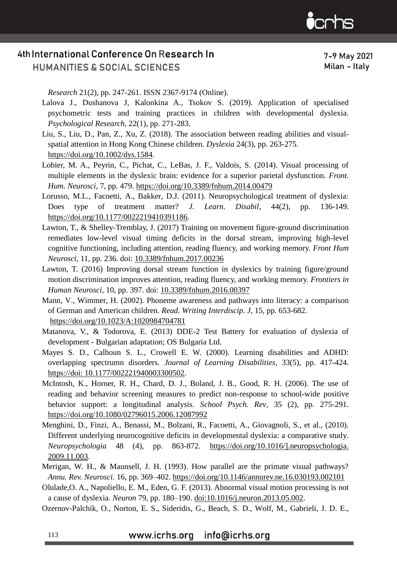7-9 May 2021 Milan - Italy

*Research* 21(2), pp. 247-261. ISSN 2367-9174 (Online).

- Lalova J., Dushanova J, Kalonkina A., Tsokov S. (2019). Application of specialised psychometric tests and training practices in children with developmental dyslexia. *Psychological Research*, 22(1), pp. 271-283.
- Liu, S., Liu, D., Pan, Z., Xu, Z. (2018). The association between reading abilities and visualspatial attention in Hong Kong Chinese children. *Dyslexia* 24(3), pp. 263-275. [https://doi.org/10.1002/dys.1584.](https://doi.org/10.1002/dys.1584)
- Lobier, M. A., Peyrin, C., Pichat, C., LeBas, J. F., Valdois, S. (2014). Visual processing of multiple elements in the dyslexic brain: evidence for a superior parietal dysfunction. *Front. Hum. Neurosci*, 7, pp. 479. https://doi.org/10.3389/fnhum.2014.00479
- Lorusso, M.L., Facoetti, A., Bakker, D.J. (2011). Neuropsychological treatment of dyslexia: Does type of treatment matter? *J. Learn. Disabil*, 44(2), pp. 136-149. [https://doi.org/10.1177/0022219410391186.](https://doi.org/10.1177/0022219410391186)
- Lawton, T., & Shelley-Tremblay, J. (2017) Training on movement figure-ground discrimination remediates low-level visual timing deficits in the dorsal stream, improving high-level cognitive functioning, including attention, reading fluency, and working memory. *Front Hum Neurosci*, 11, pp. 236. doi: [10.3389/fnhum.2017.00236](https://dx.doi.org/10.3389%2Ffnhum.2017.00236)
- Lawton, T. (2016) Improving dorsal stream function in dyslexics by training figure/ground motion discrimination improves attention, reading fluency, and working memory. *Frontiers in Human Neurosci,* 10, pp. 397. doi: [10.3389/fnhum.2016.00397](https://dx.doi.org/10.3389%2Ffnhum.2016.00397)
- [Mann, V., Wimmer, H. \(2002\). Phoneme awareness and pathways into literacy: a comparison](http://refhub.elsevier.com/S0149-7634(18)30685-7/sbref0350)  [of German and American children.](http://refhub.elsevier.com/S0149-7634(18)30685-7/sbref0350) *Read. Writing Interdiscip. J*, 15, pp. 653-682. https://doi.org/10.1023/A:1020984704781
- Matanova, V., & Todorova, E. (2013) DDE-2 Test Battery for evaluation of dyslexia of development - Bulgarian adaptation; OS Bulgaria Ltd.
- [Mayes](https://journals.sagepub.com/action/doSearch?target=default&ContribAuthorStored=Mayes%2C+Susan+D) S. D., [Calhoun](https://journals.sagepub.com/action/doSearch?target=default&ContribAuthorStored=Mayes%2C+Susan+D) S. L., [Crowell](https://journals.sagepub.com/action/doSearch?target=default&ContribAuthorStored=Mayes%2C+Susan+D) E. W. (2000). Learning disabilities and ADHD: overlapping spectrumn disorders. *Journal of Learning Disabilities*, 33(5), pp. 417-424. https://doi: 10.1177/002221940003300502.
- [McIntosh, K., Horner, R. H., Chard, D. J., Boland, J. B., Good, R. H. \(2006\). The use of](http://refhub.elsevier.com/S0149-7634(18)30685-7/sbref0375) [reading and behavior screening measures to predict non-response to school-wide](http://refhub.elsevier.com/S0149-7634(18)30685-7/sbref0375) [positive](http://refhub.elsevier.com/S0149-7634(18)30685-7/sbref0375)  [behavior support: a longitudinal analysis.](http://refhub.elsevier.com/S0149-7634(18)30685-7/sbref0375) *School Psych. Rev*, 35 (2), pp. [275-291.](http://refhub.elsevier.com/S0149-7634(18)30685-7/sbref0375) <https://doi.org/10.1080/02796015.2006.12087992>
- Menghini, D., Finzi, A., Benassi, M., Bolzani, R., Facoetti, A., Giovagnoli, S., et al., (2010). Different underlying neurocognitive deficits in developmental dyslexia: a comparative study. *Neuropsychologia* 48 (4), pp. 863-872. [https://doi.org/10.1016/\].neuropsychologia.](https://doi.org/10.1016/j.neuropsychologia.2009.11.003)  [2009.11.003.](https://doi.org/10.1016/j.neuropsychologia.2009.11.003)
- Merigan, W. H., & Maunsell, J. H. (1993). How parallel are the primate visual pathways? *Annu. Rev. Neurosci*. 16, pp. 369–402. [https://doi.org/10.1146/a](https://doi.org/10.1146/)nnurev.ne.16.030193.002101
- Olulade,O. A., Napoliello, E. M., Eden, G. F. (2013). Abnormal visual motion processing is not a cause of dyslexia. *Neuron* 79, pp. 180–190. doi:10.1016/j.neuron.2013.05.002.
- [Ozernov-Palchik, O., Norton, E. S., Sideridis, G., Beach, S.](http://refhub.elsevier.com/S0149-7634(18)30685-7/sbref0410) D., Wolf, M., Gabrieli, J. D. E.,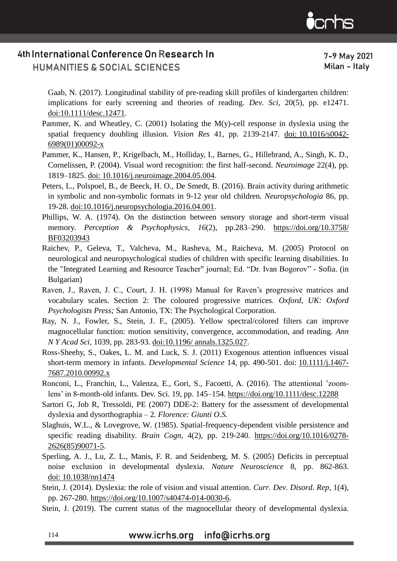7-9 May 2021 Milan - Italy

[Gaab, N. \(2017\). Longitudinal stability of pre-reading skill profiles of kindergarten](http://refhub.elsevier.com/S0149-7634(18)30685-7/sbref0410) [children:](http://refhub.elsevier.com/S0149-7634(18)30685-7/sbref0410)  [implications for early screening and theories of reading.](http://refhub.elsevier.com/S0149-7634(18)30685-7/sbref0410) *Dev. Sci,* 20(5), pp. [e12471.](http://refhub.elsevier.com/S0149-7634(18)30685-7/sbref0410)  [doi:10.1111/desc.12471.](http://refhub.elsevier.com/S0149-7634(18)30685-7/sbref0410)

- Pammer, K. and Wheatley, C. (2001) Isolating the  $M(y)$ -cell response in dyslexia using the spatial frequency doubling illusion. *Vision Res* 41, pp. 2139-2147. doi: [10.1016/s0042-](https://doi.org/10.1016/s0042-6989(01)00092-x) [6989\(01\)00092-x](https://doi.org/10.1016/s0042-6989(01)00092-x)
- Pammer, K., Hansen, P., Krigelbach, M., Holliday, I., Barnes, G., Hillebrand, A., Singh, K. D., Cornelissen, P. (2004). Visual word recognition: the first half-second. *Neuroimage* 22(4), pp. 1819–1825. doi: 10.1016/j.neuroimage.2004.05.004.
- [Peters,](https://pubmed.ncbi.nlm.nih.gov/?term=Peters+L&cauthor_id=27044845) L., [Polspoel,](https://pubmed.ncbi.nlm.nih.gov/?term=Polspoel+B&cauthor_id=27044845) B., [de Beeck,](https://pubmed.ncbi.nlm.nih.gov/?term=Op+de+Beeck+H&cauthor_id=27044845) H. O., [De Smedt,](https://pubmed.ncbi.nlm.nih.gov/?term=De+Smedt+B&cauthor_id=27044845) B. (2016). Brain activity during arithmetic in symbolic and non-symbolic formats in 9-12 year old children. *Neuropsychologia* 86, pp. 19-28. doi:10.1016/j.neuropsychologia.2016.04.001.
- Phillips, W. A. (1974). On the distinction between sensory storage and short-term visual memory. *Perception & Psychophysics, 16*(2), pp.283–290. [https://doi.org/10.3758/](https://doi.org/10.3758/%20BF03203943)  [BF03203943](https://doi.org/10.3758/%20BF03203943)
- Raichev, P., Geleva, T., Valcheva, M., Rasheva, M., Raicheva, M. (2005) Protocol on neurological and neuropsychological studies of children with specific learning disabilities. In the "Integrated Learning and Resource Teacher" journal; Ed. "Dr. Ivan Bogorov" - Sofia. (in Bulgarian)
- Raven, J., Raven, J. C., Court, J. H. (1998) Manual for Raven's progressive matrices and vocabulary scales. Section 2: The coloured progressive matrices. *Oxford, UK: Oxford Psychologists Press;* San Antonio, TX: The Psychological Corporation.
- [Ray,](https://pubmed.ncbi.nlm.nih.gov/?term=Ray+NJ&cauthor_id=15826982) N. J., [Fowler,](https://pubmed.ncbi.nlm.nih.gov/?term=Fowler+S&cauthor_id=15826982) S., [Stein,](https://pubmed.ncbi.nlm.nih.gov/?term=Stein+JF&cauthor_id=15826982) J. F., (2005). Yellow spectral/colored filters can improve magnocellular function: motion sensitivity, convergence, accommodation, and reading. *Ann N Y Acad Sci*, 1039, pp. 283-93. doi:10.1196/ annals.1325.027.
- Ross-Sheehy, S., Oakes, L. M. and Luck, S. J. (2011) Exogenous attention influences visual short-term memory in infants. *Developmental Science* 14, pp. 490-501. doi: [10.1111/j.1467-](https://dx.doi.org/10.1111%2Fj.1467-7687.2010.00992.x) [7687.2010.00992.x](https://dx.doi.org/10.1111%2Fj.1467-7687.2010.00992.x)
- Ronconi, L., Franchin, L., Valenza, E., Gori, S., Facoetti, A. (2016). The attentional 'zoomlens' in 8-month-old infants. Dev. Sci. 19, pp. 145–154. [https://doi.org/10.1111/](https://doi.org/10.1111)desc.12288
- Sartori G, Job R, Tressoldi, PE (2007) DDE-2: Battery for the assessment of developmental dyslexia and dysorthographia – 2*. Florence: Giunti O.S.*
- Slaghuis, W.L., & Lovegrove, W. (1985). Spatial-frequency-dependent visible persistence and specific reading disability*. Brain Cogn*, 4(2), pp. 219-240. [https://doi.org/10.1016/0278-](https://doi.org/10.1016/0278-2626(85)90071-5) [2626\(85\)90071-5.](https://doi.org/10.1016/0278-2626(85)90071-5)
- Sperling, A. J., Lu, Z. L., Manis, F. R. and Seidenberg, M. S. (2005) Deficits in perceptual noise exclusion in developmental dyslexia. *Nature Neuroscience* 8, pp. 862-863. doi: [10.1038/nn1474](https://doi.org/10.1038/nn1474)
- Stein, J. (2014). Dyslexia: the role of vision and visual attention. *Curr. Dev. Disord. Rep,* 1(4), pp. 267-280. [https://doi.org/10.1007/s40474-014-0030-6.](https://doi.org/10.1007/s40474-014-0030-6)
- Stein, J. (2019). The current status of the magnocellular theory of developmental dyslexia.